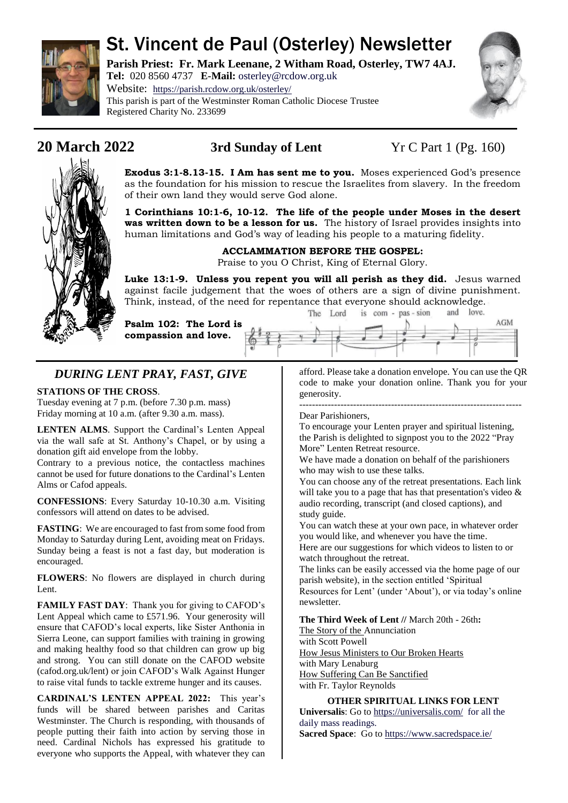

# St. Vincent de Paul (Osterley) Newsletter

**Parish Priest: Fr. Mark Leenane, 2 Witham Road, Osterley, TW7 4AJ. Tel:** 020 8560 4737 **E-Mail:** [osterley@rcdow.org.uk](mailto:osterley@rcdow.org.uk)

Website: <https://parish.rcdow.org.uk/osterley/> This parish is part of the Westminster Roman Catholic Diocese Trustee Registered Charity No. 233699



**20 March 2022 3rd Sunday of Lent** Yr C Part 1 (Pg. 160)

**Exodus 3:1-8.13-15. I Am has sent me to you.** Moses experienced God's presence as the foundation for his mission to rescue the Israelites from slavery. In the freedom of their own land they would serve God alone.

**1 Corinthians 10:1-6, 10-12. The life of the people under Moses in the desert was written down to be a lesson for us.** The history of Israel provides insights into human limitations and God's way of leading his people to a maturing fidelity.

### **ACCLAMMATION BEFORE THE GOSPEL:**

Praise to you O Christ, King of Eternal Glory.

**Luke 13:1-9. Unless you repent you will all perish as they did.** Jesus warned against facile judgement that the woes of others are a sign of divine punishment. Think, instead, of the need for repentance that everyone should acknowledge.

**Psalm 102: The Lord is compassion and love.**

|  | rue rola |  | $18$ com - $pas - s$ on |  | $d$ <sub>1</sub> $100$ | AGM |
|--|----------|--|-------------------------|--|------------------------|-----|
|  |          |  |                         |  |                        |     |
|  |          |  |                         |  |                        |     |

## *DURING LENT PRAY, FAST, GIVE*

### **STATIONS OF THE CROSS**.

Tuesday evening at 7 p.m. (before 7.30 p.m. mass) Friday morning at 10 a.m. (after 9.30 a.m. mass).

**LENTEN ALMS**. Support the Cardinal's Lenten Appeal via the wall safe at St. Anthony's Chapel, or by using a donation gift aid envelope from the lobby.

Contrary to a previous notice, the contactless machines cannot be used for future donations to the Cardinal's Lenten Alms or Cafod appeals.

**CONFESSIONS**: Every Saturday 10-10.30 a.m. Visiting confessors will attend on dates to be advised.

**FASTING**: We are encouraged to fast from some food from Monday to Saturday during Lent, avoiding meat on Fridays. Sunday being a feast is not a fast day, but moderation is encouraged.

**FLOWERS**: No flowers are displayed in church during Lent.

**FAMILY FAST DAY**: Thank you for giving to CAFOD's Lent Appeal which came to £571.96. Your generosity will ensure that CAFOD's local experts, like Sister Anthonia in Sierra Leone, can support families with training in growing and making healthy food so that children can grow up big and strong. You can still donate on the CAFOD website (cafod.org.uk/lent) or join CAFOD's Walk Against Hunger to raise vital funds to tackle extreme hunger and its causes.

**CARDINAL'S LENTEN APPEAL 2022:** This year's funds will be shared between parishes and Caritas Westminster. The Church is responding, with thousands of people putting their faith into action by serving those in need. Cardinal Nichols has expressed his gratitude to everyone who supports the Appeal, with whatever they can afford. Please take a donation envelope. You can use the QR code to make your donation online. Thank you for your generosity.

#### ---------------------------------------------------------------------- Dear Parishioners,

To encourage your Lenten prayer and spiritual listening, the Parish is delighted to signpost you to the 2022 "Pray More" Lenten Retreat resource.

We have made a donation on behalf of the parishioners who may wish to use these talks.

You can choose any of the retreat presentations. Each link will take you to a page that has that presentation's video & audio recording, transcript (and closed captions), and study guide.

You can watch these at your own pace, in whatever order you would like, and whenever you have the time.

Here are our suggestions for which videos to listen to or watch throughout the retreat.

The links can be easily accessed via the home page of our parish website), in the section entitled 'Spiritual Resources for Lent' (under 'About'), or via today's online

newsletter.

## **The Third Week of Lent //** March 20th - 26th**:**

[The Story of the Annunciation](https://praymoreretreat.us2.list-manage.com/track/click?u=4165fbdf0f773abfadd804de8&id=e8161a6837&e=9767671fe1)

with Scott Powell [How Jesus Ministers to Our Broken Hearts](https://praymoreretreat.us2.list-manage.com/track/click?u=4165fbdf0f773abfadd804de8&id=69bb9a4895&e=9767671fe1) with Mary Lenaburg [How Suffering Can Be Sanctified](https://praymoreretreat.us2.list-manage.com/track/click?u=4165fbdf0f773abfadd804de8&id=f26f60041b&e=9767671fe1)

with Fr. Taylor Reynolds

#### **OTHER SPIRITUAL LINKS FOR LENT**

**Universalis**: Go to<https://universalis.com/>for all the daily mass readings.

**Sacred Space**: Go t[o https://www.sacredspace.ie/](https://www.sacredspace.ie/)